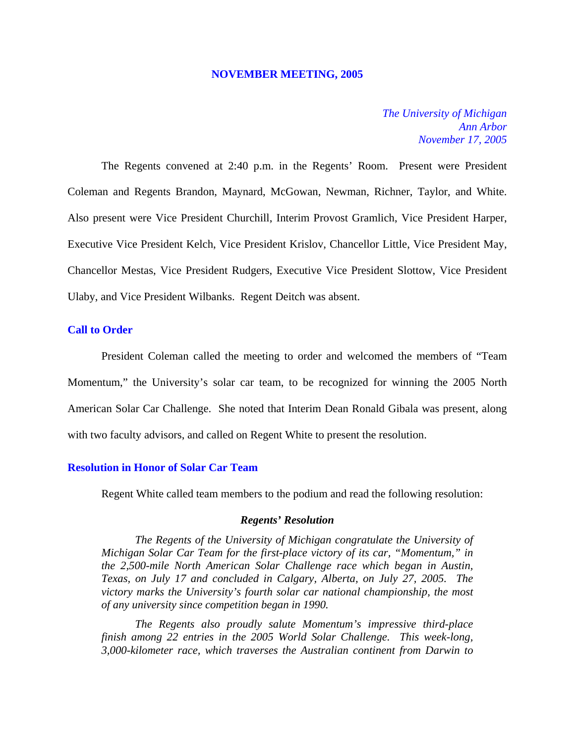#### **NOVEMBER MEETING, 2005**

## *The University of Michigan Ann Arbor November 17, 2005*

The Regents convened at 2:40 p.m. in the Regents' Room. Present were President Coleman and Regents Brandon, Maynard, McGowan, Newman, Richner, Taylor, and White. Also present were Vice President Churchill, Interim Provost Gramlich, Vice President Harper, Executive Vice President Kelch, Vice President Krislov, Chancellor Little, Vice President May, Chancellor Mestas, Vice President Rudgers, Executive Vice President Slottow, Vice President Ulaby, and Vice President Wilbanks. Regent Deitch was absent.

## **Call to Order**

President Coleman called the meeting to order and welcomed the members of "Team Momentum," the University's solar car team, to be recognized for winning the 2005 North American Solar Car Challenge. She noted that Interim Dean Ronald Gibala was present, along with two faculty advisors, and called on Regent White to present the resolution.

### **Resolution in Honor of Solar Car Team**

Regent White called team members to the podium and read the following resolution:

#### *Regents' Resolution*

*The Regents of the University of Michigan congratulate the University of Michigan Solar Car Team for the first-place victory of its car, "Momentum," in the 2,500-mile North American Solar Challenge race which began in Austin, Texas, on July 17 and concluded in Calgary, Alberta, on July 27, 2005. The victory marks the University's fourth solar car national championship, the most of any university since competition began in 1990.*

*The Regents also proudly salute Momentum's impressive third-place finish among 22 entries in the 2005 World Solar Challenge. This week-long, 3,000-kilometer race, which traverses the Australian continent from Darwin to*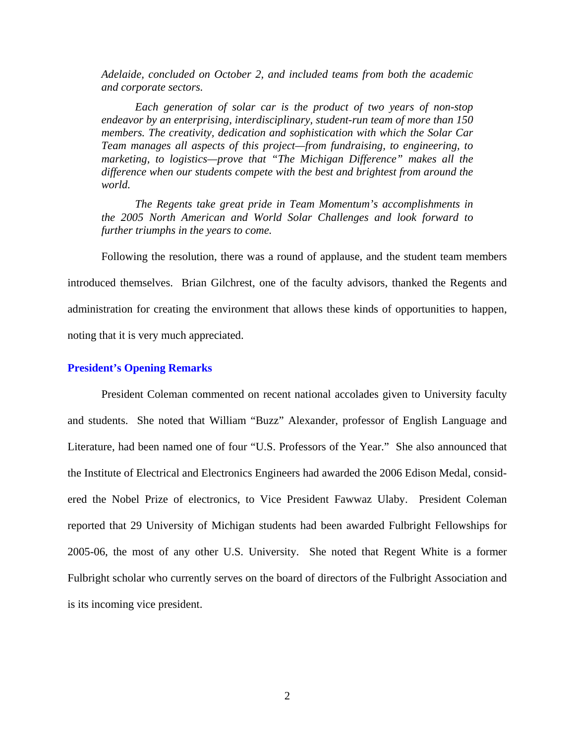*Adelaide, concluded on October 2, and included teams from both the academic and corporate sectors.* 

*Each generation of solar car is the product of two years of non-stop endeavor by an enterprising, interdisciplinary, student-run team of more than 150 members. The creativity, dedication and sophistication with which the Solar Car Team manages all aspects of this project—from fundraising, to engineering, to marketing, to logistics—prove that "The Michigan Difference" makes all the difference when our students compete with the best and brightest from around the world.* 

*The Regents take great pride in Team Momentum's accomplishments in the 2005 North American and World Solar Challenges and look forward to further triumphs in the years to come.*

Following the resolution, there was a round of applause, and the student team members introduced themselves. Brian Gilchrest, one of the faculty advisors, thanked the Regents and administration for creating the environment that allows these kinds of opportunities to happen, noting that it is very much appreciated.

#### **President's Opening Remarks**

President Coleman commented on recent national accolades given to University faculty and students. She noted that William "Buzz" Alexander, professor of English Language and Literature, had been named one of four "U.S. Professors of the Year." She also announced that the Institute of Electrical and Electronics Engineers had awarded the 2006 Edison Medal, considered the Nobel Prize of electronics, to Vice President Fawwaz Ulaby. President Coleman reported that 29 University of Michigan students had been awarded Fulbright Fellowships for 2005-06, the most of any other U.S. University. She noted that Regent White is a former Fulbright scholar who currently serves on the board of directors of the Fulbright Association and is its incoming vice president.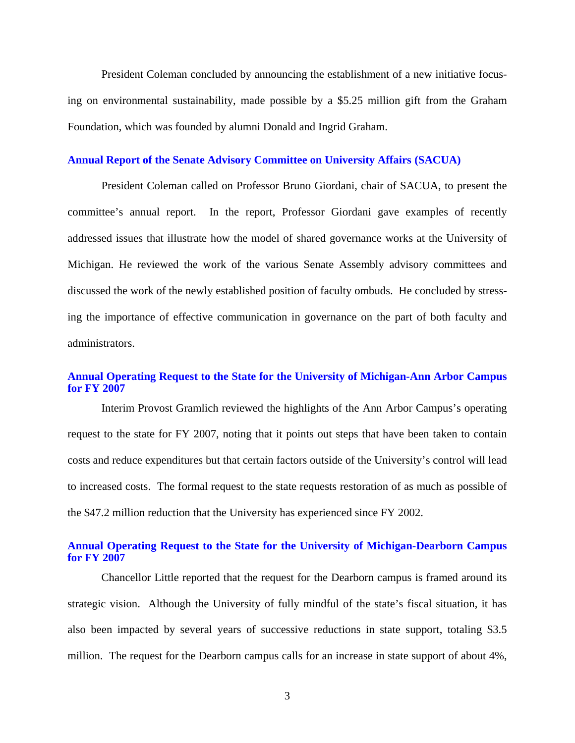President Coleman concluded by announcing the establishment of a new initiative focusing on environmental sustainability, made possible by a \$5.25 million gift from the Graham Foundation, which was founded by alumni Donald and Ingrid Graham.

#### **Annual Report of the Senate Advisory Committee on University Affairs (SACUA)**

President Coleman called on Professor Bruno Giordani, chair of SACUA, to present the committee's annual report. In the report, Professor Giordani gave examples of recently addressed issues that illustrate how the model of shared governance works at the University of Michigan. He reviewed the work of the various Senate Assembly advisory committees and discussed the work of the newly established position of faculty ombuds. He concluded by stressing the importance of effective communication in governance on the part of both faculty and administrators.

## **Annual Operating Request to the State for the University of Michigan-Ann Arbor Campus for FY 2007**

Interim Provost Gramlich reviewed the highlights of the Ann Arbor Campus's operating request to the state for FY 2007, noting that it points out steps that have been taken to contain costs and reduce expenditures but that certain factors outside of the University's control will lead to increased costs. The formal request to the state requests restoration of as much as possible of the \$47.2 million reduction that the University has experienced since FY 2002.

## **Annual Operating Request to the State for the University of Michigan-Dearborn Campus for FY 2007**

Chancellor Little reported that the request for the Dearborn campus is framed around its strategic vision. Although the University of fully mindful of the state's fiscal situation, it has also been impacted by several years of successive reductions in state support, totaling \$3.5 million. The request for the Dearborn campus calls for an increase in state support of about 4%,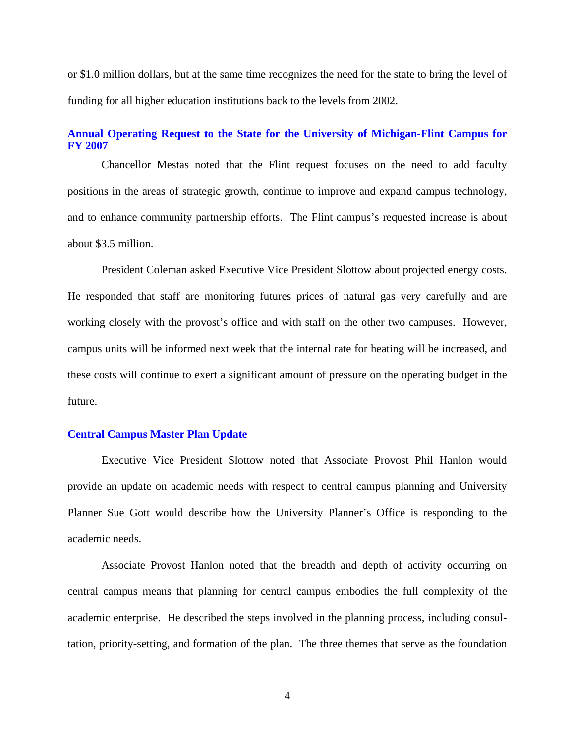or \$1.0 million dollars, but at the same time recognizes the need for the state to bring the level of funding for all higher education institutions back to the levels from 2002.

### **Annual Operating Request to the State for the University of Michigan-Flint Campus for FY 2007**

Chancellor Mestas noted that the Flint request focuses on the need to add faculty positions in the areas of strategic growth, continue to improve and expand campus technology, and to enhance community partnership efforts. The Flint campus's requested increase is about about \$3.5 million.

President Coleman asked Executive Vice President Slottow about projected energy costs. He responded that staff are monitoring futures prices of natural gas very carefully and are working closely with the provost's office and with staff on the other two campuses. However, campus units will be informed next week that the internal rate for heating will be increased, and these costs will continue to exert a significant amount of pressure on the operating budget in the future.

### **Central Campus Master Plan Update**

Executive Vice President Slottow noted that Associate Provost Phil Hanlon would provide an update on academic needs with respect to central campus planning and University Planner Sue Gott would describe how the University Planner's Office is responding to the academic needs.

Associate Provost Hanlon noted that the breadth and depth of activity occurring on central campus means that planning for central campus embodies the full complexity of the academic enterprise. He described the steps involved in the planning process, including consultation, priority-setting, and formation of the plan. The three themes that serve as the foundation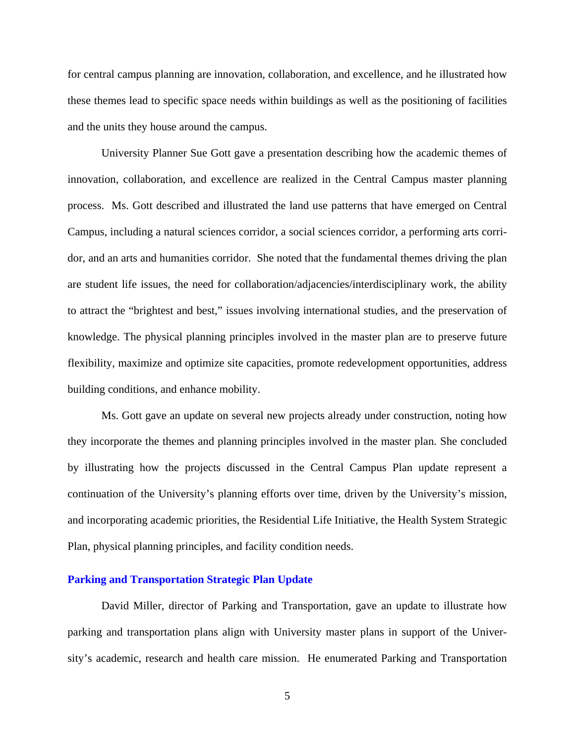for central campus planning are innovation, collaboration, and excellence, and he illustrated how these themes lead to specific space needs within buildings as well as the positioning of facilities and the units they house around the campus.

University Planner Sue Gott gave a presentation describing how the academic themes of innovation, collaboration, and excellence are realized in the Central Campus master planning process. Ms. Gott described and illustrated the land use patterns that have emerged on Central Campus, including a natural sciences corridor, a social sciences corridor, a performing arts corridor, and an arts and humanities corridor. She noted that the fundamental themes driving the plan are student life issues, the need for collaboration/adjacencies/interdisciplinary work, the ability to attract the "brightest and best," issues involving international studies, and the preservation of knowledge. The physical planning principles involved in the master plan are to preserve future flexibility, maximize and optimize site capacities, promote redevelopment opportunities, address building conditions, and enhance mobility.

Ms. Gott gave an update on several new projects already under construction, noting how they incorporate the themes and planning principles involved in the master plan. She concluded by illustrating how the projects discussed in the Central Campus Plan update represent a continuation of the University's planning efforts over time, driven by the University's mission, and incorporating academic priorities, the Residential Life Initiative, the Health System Strategic Plan, physical planning principles, and facility condition needs.

## **Parking and Transportation Strategic Plan Update**

David Miller, director of Parking and Transportation, gave an update to illustrate how parking and transportation plans align with University master plans in support of the University's academic, research and health care mission. He enumerated Parking and Transportation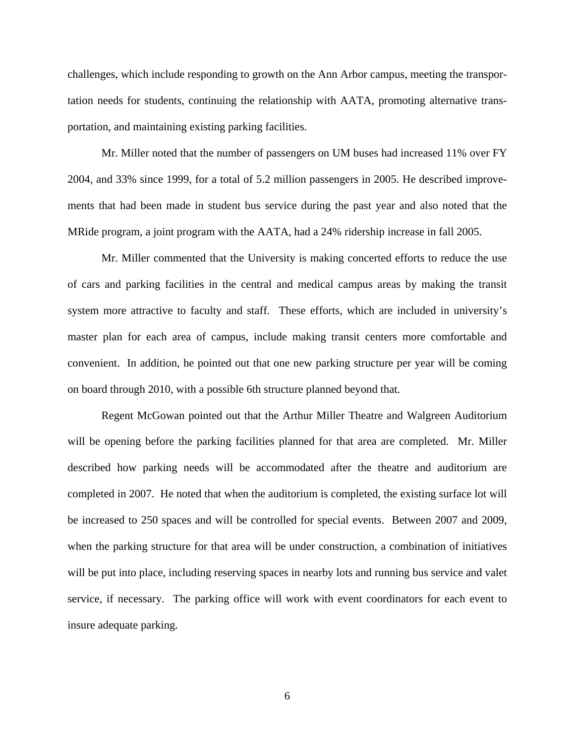challenges, which include responding to growth on the Ann Arbor campus, meeting the transportation needs for students, continuing the relationship with AATA, promoting alternative transportation, and maintaining existing parking facilities.

Mr. Miller noted that the number of passengers on UM buses had increased 11% over FY 2004, and 33% since 1999, for a total of 5.2 million passengers in 2005. He described improvements that had been made in student bus service during the past year and also noted that the MRide program, a joint program with the AATA, had a 24% ridership increase in fall 2005.

Mr. Miller commented that the University is making concerted efforts to reduce the use of cars and parking facilities in the central and medical campus areas by making the transit system more attractive to faculty and staff. These efforts, which are included in university's master plan for each area of campus, include making transit centers more comfortable and convenient. In addition, he pointed out that one new parking structure per year will be coming on board through 2010, with a possible 6th structure planned beyond that.

Regent McGowan pointed out that the Arthur Miller Theatre and Walgreen Auditorium will be opening before the parking facilities planned for that area are completed. Mr. Miller described how parking needs will be accommodated after the theatre and auditorium are completed in 2007. He noted that when the auditorium is completed, the existing surface lot will be increased to 250 spaces and will be controlled for special events. Between 2007 and 2009, when the parking structure for that area will be under construction, a combination of initiatives will be put into place, including reserving spaces in nearby lots and running bus service and valet service, if necessary. The parking office will work with event coordinators for each event to insure adequate parking.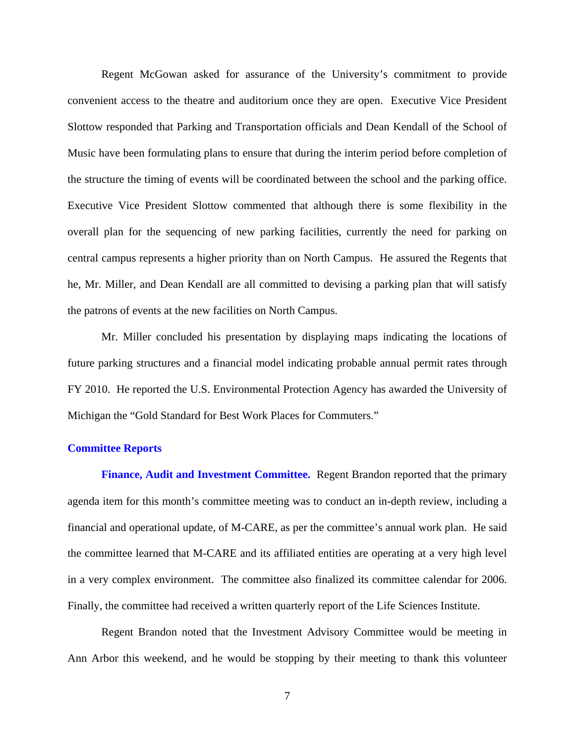Regent McGowan asked for assurance of the University's commitment to provide convenient access to the theatre and auditorium once they are open. Executive Vice President Slottow responded that Parking and Transportation officials and Dean Kendall of the School of Music have been formulating plans to ensure that during the interim period before completion of the structure the timing of events will be coordinated between the school and the parking office. Executive Vice President Slottow commented that although there is some flexibility in the overall plan for the sequencing of new parking facilities, currently the need for parking on central campus represents a higher priority than on North Campus. He assured the Regents that he, Mr. Miller, and Dean Kendall are all committed to devising a parking plan that will satisfy the patrons of events at the new facilities on North Campus.

Mr. Miller concluded his presentation by displaying maps indicating the locations of future parking structures and a financial model indicating probable annual permit rates through FY 2010. He reported the U.S. Environmental Protection Agency has awarded the University of Michigan the "Gold Standard for Best Work Places for Commuters."

#### **Committee Reports**

**Finance, Audit and Investment Committee.** Regent Brandon reported that the primary agenda item for this month's committee meeting was to conduct an in-depth review, including a financial and operational update, of M-CARE, as per the committee's annual work plan. He said the committee learned that M-CARE and its affiliated entities are operating at a very high level in a very complex environment. The committee also finalized its committee calendar for 2006. Finally, the committee had received a written quarterly report of the Life Sciences Institute.

Regent Brandon noted that the Investment Advisory Committee would be meeting in Ann Arbor this weekend, and he would be stopping by their meeting to thank this volunteer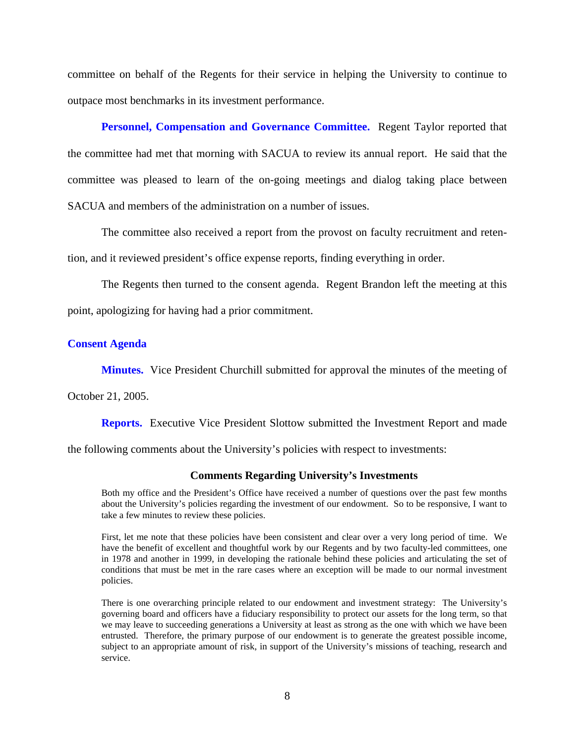committee on behalf of the Regents for their service in helping the University to continue to outpace most benchmarks in its investment performance.

**Personnel, Compensation and Governance Committee.** Regent Taylor reported that the committee had met that morning with SACUA to review its annual report. He said that the committee was pleased to learn of the on-going meetings and dialog taking place between SACUA and members of the administration on a number of issues.

The committee also received a report from the provost on faculty recruitment and retention, and it reviewed president's office expense reports, finding everything in order.

The Regents then turned to the consent agenda. Regent Brandon left the meeting at this point, apologizing for having had a prior commitment.

#### **Consent Agenda**

**Minutes.** Vice President Churchill submitted for approval the minutes of the meeting of

October 21, 2005.

**Reports.** Executive Vice President Slottow submitted the Investment Report and made

the following comments about the University's policies with respect to investments:

#### **Comments Regarding University's Investments**

Both my office and the President's Office have received a number of questions over the past few months about the University's policies regarding the investment of our endowment. So to be responsive, I want to take a few minutes to review these policies.

First, let me note that these policies have been consistent and clear over a very long period of time. We have the benefit of excellent and thoughtful work by our Regents and by two faculty-led committees, one in 1978 and another in 1999, in developing the rationale behind these policies and articulating the set of conditions that must be met in the rare cases where an exception will be made to our normal investment policies.

There is one overarching principle related to our endowment and investment strategy: The University's governing board and officers have a fiduciary responsibility to protect our assets for the long term, so that we may leave to succeeding generations a University at least as strong as the one with which we have been entrusted. Therefore, the primary purpose of our endowment is to generate the greatest possible income, subject to an appropriate amount of risk, in support of the University's missions of teaching, research and service.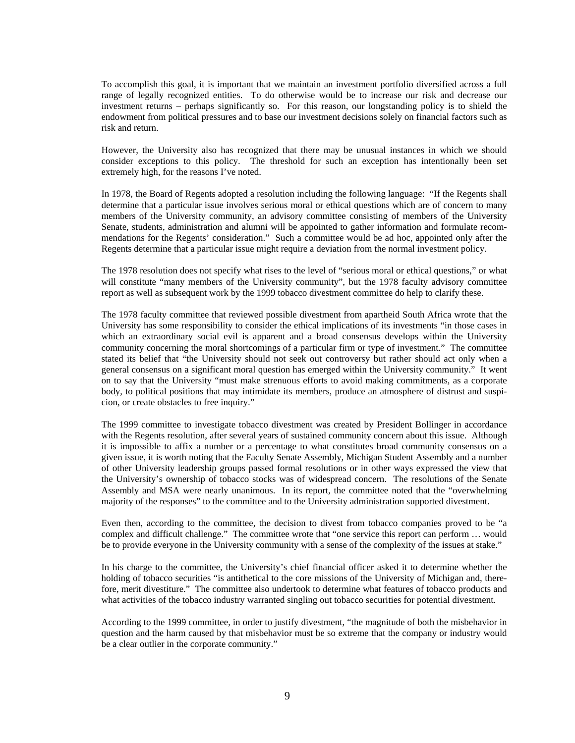To accomplish this goal, it is important that we maintain an investment portfolio diversified across a full range of legally recognized entities. To do otherwise would be to increase our risk and decrease our investment returns – perhaps significantly so. For this reason, our longstanding policy is to shield the endowment from political pressures and to base our investment decisions solely on financial factors such as risk and return.

However, the University also has recognized that there may be unusual instances in which we should consider exceptions to this policy. The threshold for such an exception has intentionally been set extremely high, for the reasons I've noted.

In 1978, the Board of Regents adopted a resolution including the following language: "If the Regents shall determine that a particular issue involves serious moral or ethical questions which are of concern to many members of the University community, an advisory committee consisting of members of the University Senate, students, administration and alumni will be appointed to gather information and formulate recommendations for the Regents' consideration." Such a committee would be ad hoc, appointed only after the Regents determine that a particular issue might require a deviation from the normal investment policy.

The 1978 resolution does not specify what rises to the level of "serious moral or ethical questions," or what will constitute "many members of the University community", but the 1978 faculty advisory committee report as well as subsequent work by the 1999 tobacco divestment committee do help to clarify these.

The 1978 faculty committee that reviewed possible divestment from apartheid South Africa wrote that the University has some responsibility to consider the ethical implications of its investments "in those cases in which an extraordinary social evil is apparent and a broad consensus develops within the University community concerning the moral shortcomings of a particular firm or type of investment." The committee stated its belief that "the University should not seek out controversy but rather should act only when a general consensus on a significant moral question has emerged within the University community." It went on to say that the University "must make strenuous efforts to avoid making commitments, as a corporate body, to political positions that may intimidate its members, produce an atmosphere of distrust and suspicion, or create obstacles to free inquiry."

The 1999 committee to investigate tobacco divestment was created by President Bollinger in accordance with the Regents resolution, after several years of sustained community concern about this issue. Although it is impossible to affix a number or a percentage to what constitutes broad community consensus on a given issue, it is worth noting that the Faculty Senate Assembly, Michigan Student Assembly and a number of other University leadership groups passed formal resolutions or in other ways expressed the view that the University's ownership of tobacco stocks was of widespread concern. The resolutions of the Senate Assembly and MSA were nearly unanimous. In its report, the committee noted that the "overwhelming majority of the responses" to the committee and to the University administration supported divestment.

Even then, according to the committee, the decision to divest from tobacco companies proved to be "a complex and difficult challenge." The committee wrote that "one service this report can perform … would be to provide everyone in the University community with a sense of the complexity of the issues at stake."

In his charge to the committee, the University's chief financial officer asked it to determine whether the holding of tobacco securities "is antithetical to the core missions of the University of Michigan and, therefore, merit divestiture." The committee also undertook to determine what features of tobacco products and what activities of the tobacco industry warranted singling out tobacco securities for potential divestment.

According to the 1999 committee, in order to justify divestment, "the magnitude of both the misbehavior in question and the harm caused by that misbehavior must be so extreme that the company or industry would be a clear outlier in the corporate community."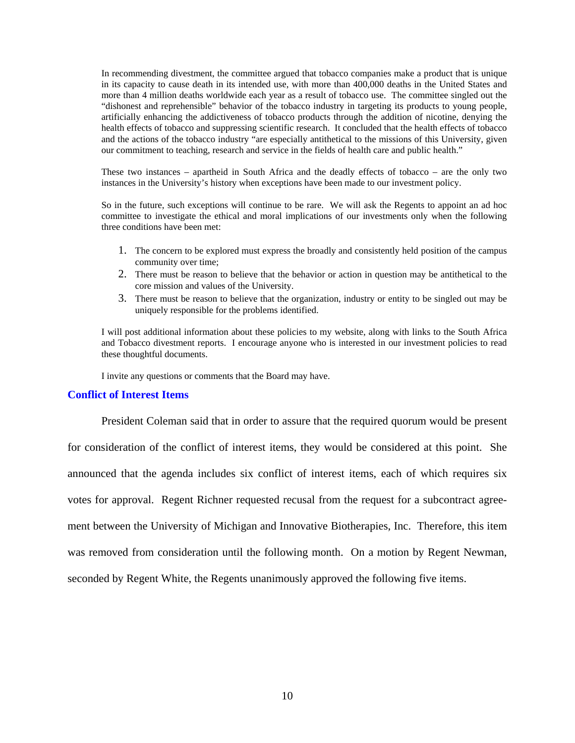In recommending divestment, the committee argued that tobacco companies make a product that is unique in its capacity to cause death in its intended use, with more than 400,000 deaths in the United States and more than 4 million deaths worldwide each year as a result of tobacco use. The committee singled out the "dishonest and reprehensible" behavior of the tobacco industry in targeting its products to young people, artificially enhancing the addictiveness of tobacco products through the addition of nicotine, denying the health effects of tobacco and suppressing scientific research. It concluded that the health effects of tobacco and the actions of the tobacco industry "are especially antithetical to the missions of this University, given our commitment to teaching, research and service in the fields of health care and public health."

These two instances – apartheid in South Africa and the deadly effects of tobacco – are the only two instances in the University's history when exceptions have been made to our investment policy.

So in the future, such exceptions will continue to be rare. We will ask the Regents to appoint an ad hoc committee to investigate the ethical and moral implications of our investments only when the following three conditions have been met:

- 1. The concern to be explored must express the broadly and consistently held position of the campus community over time;
- 2. There must be reason to believe that the behavior or action in question may be antithetical to the core mission and values of the University.
- 3. There must be reason to believe that the organization, industry or entity to be singled out may be uniquely responsible for the problems identified.

I will post additional information about these policies to my website, along with links to the South Africa and Tobacco divestment reports. I encourage anyone who is interested in our investment policies to read these thoughtful documents.

I invite any questions or comments that the Board may have.

#### **Conflict of Interest Items**

President Coleman said that in order to assure that the required quorum would be present for consideration of the conflict of interest items, they would be considered at this point. She announced that the agenda includes six conflict of interest items, each of which requires six votes for approval. Regent Richner requested recusal from the request for a subcontract agreement between the University of Michigan and Innovative Biotherapies, Inc. Therefore, this item was removed from consideration until the following month. On a motion by Regent Newman, seconded by Regent White, the Regents unanimously approved the following five items.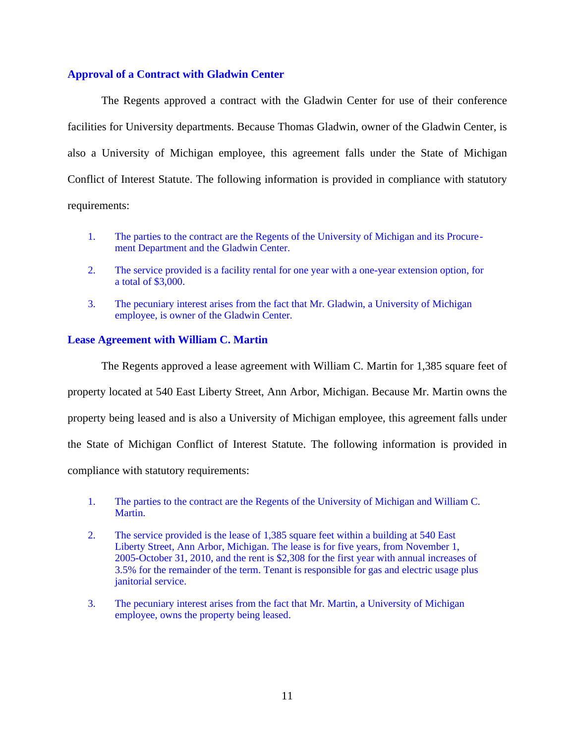# **Approval of a Contract with Gladwin Center**

The Regents approved a contract with the Gladwin Center for use of their conference facilities for University departments. Because Thomas Gladwin, owner of the Gladwin Center, is also a University of Michigan employee, this agreement falls under the State of Michigan Conflict of Interest Statute. The following information is provided in compliance with statutory requirements:

- 1. The parties to the contract are the Regents of the University of Michigan and its Procurement Department and the Gladwin Center.
- 2. The service provided is a facility rental for one year with a one-year extension option, for a total of \$3,000.
- 3. The pecuniary interest arises from the fact that Mr. Gladwin, a University of Michigan employee, is owner of the Gladwin Center.

## **Lease Agreement with William C. Martin**

The Regents approved a lease agreement with William C. Martin for 1,385 square feet of property located at 540 East Liberty Street, Ann Arbor, Michigan. Because Mr. Martin owns the property being leased and is also a University of Michigan employee, this agreement falls under the State of Michigan Conflict of Interest Statute. The following information is provided in compliance with statutory requirements:

- 1. The parties to the contract are the Regents of the University of Michigan and William C. Martin.
- 2. The service provided is the lease of 1,385 square feet within a building at 540 East Liberty Street, Ann Arbor, Michigan. The lease is for five years, from November 1, 2005-October 31, 2010, and the rent is \$2,308 for the first year with annual increases of 3.5% for the remainder of the term. Tenant is responsible for gas and electric usage plus janitorial service.
- 3. The pecuniary interest arises from the fact that Mr. Martin, a University of Michigan employee, owns the property being leased.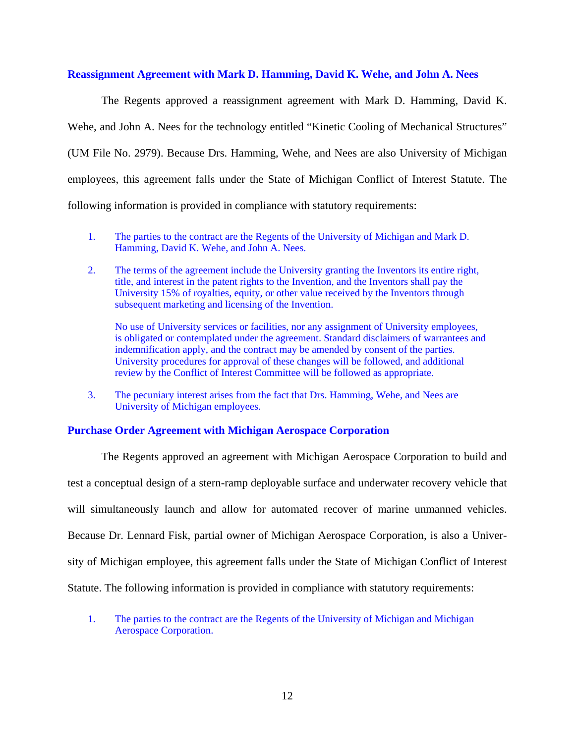## **Reassignment Agreement with Mark D. Hamming, David K. Wehe, and John A. Nees**

The Regents approved a reassignment agreement with Mark D. Hamming, David K. Wehe, and John A. Nees for the technology entitled "Kinetic Cooling of Mechanical Structures" (UM File No. 2979). Because Drs. Hamming, Wehe, and Nees are also University of Michigan employees, this agreement falls under the State of Michigan Conflict of Interest Statute. The following information is provided in compliance with statutory requirements:

- 1. The parties to the contract are the Regents of the University of Michigan and Mark D. Hamming, David K. Wehe, and John A. Nees.
- 2. The terms of the agreement include the University granting the Inventors its entire right, title, and interest in the patent rights to the Invention, and the Inventors shall pay the University 15% of royalties, equity, or other value received by the Inventors through subsequent marketing and licensing of the Invention.

No use of University services or facilities, nor any assignment of University employees, is obligated or contemplated under the agreement. Standard disclaimers of warrantees and indemnification apply, and the contract may be amended by consent of the parties. University procedures for approval of these changes will be followed, and additional review by the Conflict of Interest Committee will be followed as appropriate.

3. The pecuniary interest arises from the fact that Drs. Hamming, Wehe, and Nees are University of Michigan employees.

## **Purchase Order Agreement with Michigan Aerospace Corporation**

The Regents approved an agreement with Michigan Aerospace Corporation to build and test a conceptual design of a stern-ramp deployable surface and underwater recovery vehicle that will simultaneously launch and allow for automated recover of marine unmanned vehicles. Because Dr. Lennard Fisk, partial owner of Michigan Aerospace Corporation, is also a University of Michigan employee, this agreement falls under the State of Michigan Conflict of Interest Statute. The following information is provided in compliance with statutory requirements:

1. The parties to the contract are the Regents of the University of Michigan and Michigan Aerospace Corporation.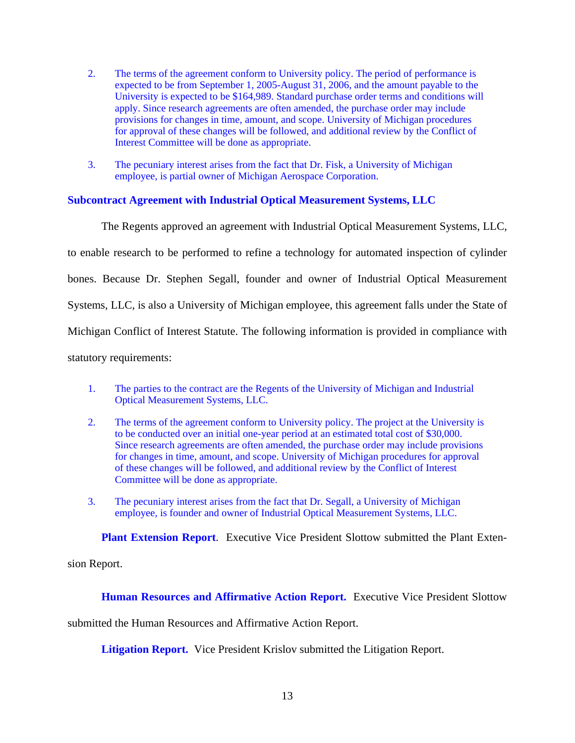- 2. The terms of the agreement conform to University policy. The period of performance is expected to be from September 1, 2005-August 31, 2006, and the amount payable to the University is expected to be \$164,989. Standard purchase order terms and conditions will apply. Since research agreements are often amended, the purchase order may include provisions for changes in time, amount, and scope. University of Michigan procedures for approval of these changes will be followed, and additional review by the Conflict of Interest Committee will be done as appropriate.
- 3. The pecuniary interest arises from the fact that Dr. Fisk, a University of Michigan employee, is partial owner of Michigan Aerospace Corporation.

# **Subcontract Agreement with Industrial Optical Measurement Systems, LLC**

The Regents approved an agreement with Industrial Optical Measurement Systems, LLC, to enable research to be performed to refine a technology for automated inspection of cylinder bones. Because Dr. Stephen Segall, founder and owner of Industrial Optical Measurement Systems, LLC, is also a University of Michigan employee, this agreement falls under the State of Michigan Conflict of Interest Statute. The following information is provided in compliance with statutory requirements:

- 1. The parties to the contract are the Regents of the University of Michigan and Industrial Optical Measurement Systems, LLC.
- 2. The terms of the agreement conform to University policy. The project at the University is to be conducted over an initial one-year period at an estimated total cost of \$30,000. Since research agreements are often amended, the purchase order may include provisions for changes in time, amount, and scope. University of Michigan procedures for approval of these changes will be followed, and additional review by the Conflict of Interest Committee will be done as appropriate.
- 3. The pecuniary interest arises from the fact that Dr. Segall, a University of Michigan employee, is founder and owner of Industrial Optical Measurement Systems, LLC.

**Plant Extension Report**. Executive Vice President Slottow submitted the Plant Exten-

sion Report.

**Human Resources and Affirmative Action Report.** Executive Vice President Slottow

submitted the Human Resources and Affirmative Action Report.

**Litigation Report.** Vice President Krislov submitted the Litigation Report.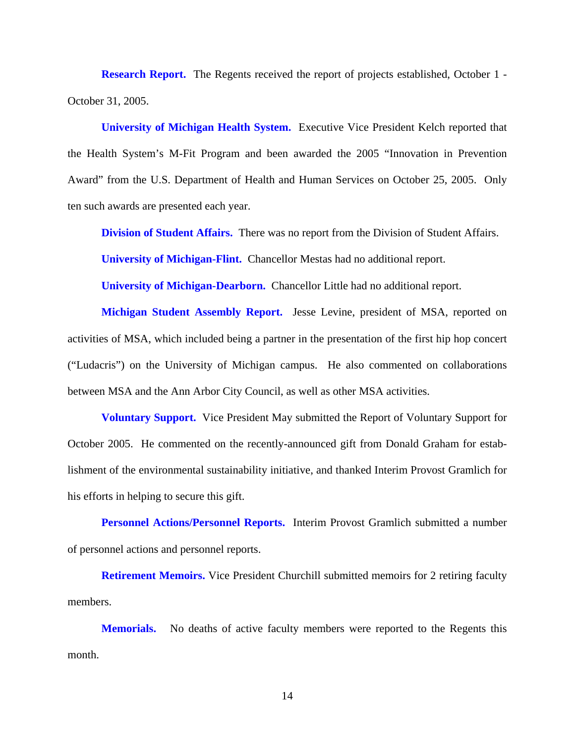**Research Report.** The Regents received the report of projects established, October 1 -October 31, 2005.

**University of Michigan Health System.** Executive Vice President Kelch reported that the Health System's M-Fit Program and been awarded the 2005 "Innovation in Prevention Award" from the U.S. Department of Health and Human Services on October 25, 2005. Only ten such awards are presented each year.

**Division of Student Affairs.** There was no report from the Division of Student Affairs.

**University of Michigan-Flint.** Chancellor Mestas had no additional report.

**University of Michigan-Dearborn.** Chancellor Little had no additional report.

**Michigan Student Assembly Report.** Jesse Levine, president of MSA, reported on activities of MSA, which included being a partner in the presentation of the first hip hop concert ("Ludacris") on the University of Michigan campus. He also commented on collaborations between MSA and the Ann Arbor City Council, as well as other MSA activities.

**Voluntary Support.** Vice President May submitted the Report of Voluntary Support for October 2005. He commented on the recently-announced gift from Donald Graham for establishment of the environmental sustainability initiative, and thanked Interim Provost Gramlich for his efforts in helping to secure this gift.

**Personnel Actions/Personnel Reports.** Interim Provost Gramlich submitted a number of personnel actions and personnel reports.

**Retirement Memoirs.** Vice President Churchill submitted memoirs for 2 retiring faculty members.

**Memorials.** No deaths of active faculty members were reported to the Regents this month.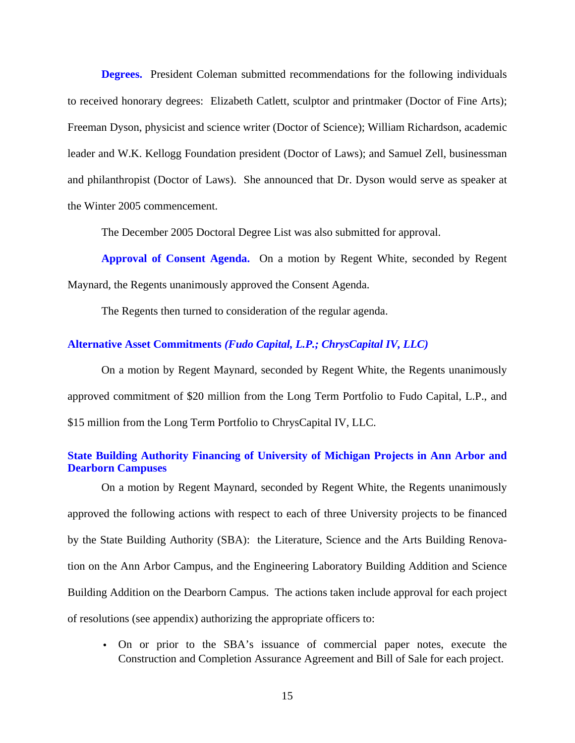**Degrees.** President Coleman submitted recommendations for the following individuals to received honorary degrees: Elizabeth Catlett, sculptor and printmaker (Doctor of Fine Arts); Freeman Dyson, physicist and science writer (Doctor of Science); William Richardson, academic leader and W.K. Kellogg Foundation president (Doctor of Laws); and Samuel Zell, businessman and philanthropist (Doctor of Laws). She announced that Dr. Dyson would serve as speaker at the Winter 2005 commencement.

The December 2005 Doctoral Degree List was also submitted for approval.

**Approval of Consent Agenda.** On a motion by Regent White, seconded by Regent Maynard, the Regents unanimously approved the Consent Agenda.

The Regents then turned to consideration of the regular agenda.

## **Alternative Asset Commitments** *(Fudo Capital, L.P.; ChrysCapital IV, LLC)*

On a motion by Regent Maynard, seconded by Regent White, the Regents unanimously approved commitment of \$20 million from the Long Term Portfolio to Fudo Capital, L.P., and \$15 million from the Long Term Portfolio to ChrysCapital IV, LLC.

## **State Building Authority Financing of University of Michigan Projects in Ann Arbor and Dearborn Campuses**

On a motion by Regent Maynard, seconded by Regent White, the Regents unanimously approved the following actions with respect to each of three University projects to be financed by the State Building Authority (SBA): the Literature, Science and the Arts Building Renovation on the Ann Arbor Campus, and the Engineering Laboratory Building Addition and Science Building Addition on the Dearborn Campus. The actions taken include approval for each project of resolutions (see appendix) authorizing the appropriate officers to:

v On or prior to the SBA's issuance of commercial paper notes, execute the Construction and Completion Assurance Agreement and Bill of Sale for each project.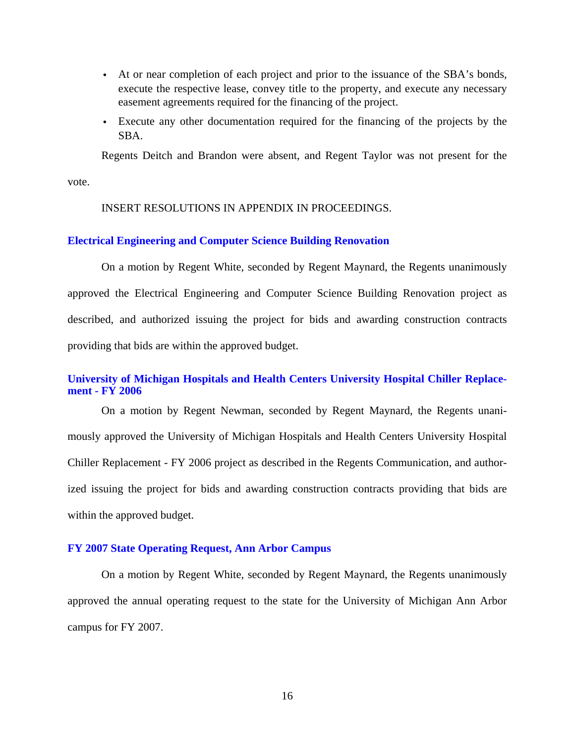- v At or near completion of each project and prior to the issuance of the SBA's bonds, execute the respective lease, convey title to the property, and execute any necessary easement agreements required for the financing of the project.
- v Execute any other documentation required for the financing of the projects by the SBA.

Regents Deitch and Brandon were absent, and Regent Taylor was not present for the

vote.

#### INSERT RESOLUTIONS IN APPENDIX IN PROCEEDINGS.

#### **Electrical Engineering and Computer Science Building Renovation**

On a motion by Regent White, seconded by Regent Maynard, the Regents unanimously approved the Electrical Engineering and Computer Science Building Renovation project as described, and authorized issuing the project for bids and awarding construction contracts providing that bids are within the approved budget.

## **University of Michigan Hospitals and Health Centers University Hospital Chiller Replacement - FY 2006**

On a motion by Regent Newman, seconded by Regent Maynard, the Regents unanimously approved the University of Michigan Hospitals and Health Centers University Hospital Chiller Replacement - FY 2006 project as described in the Regents Communication, and authorized issuing the project for bids and awarding construction contracts providing that bids are within the approved budget.

## **FY 2007 State Operating Request, Ann Arbor Campus**

On a motion by Regent White, seconded by Regent Maynard, the Regents unanimously approved the annual operating request to the state for the University of Michigan Ann Arbor campus for FY 2007.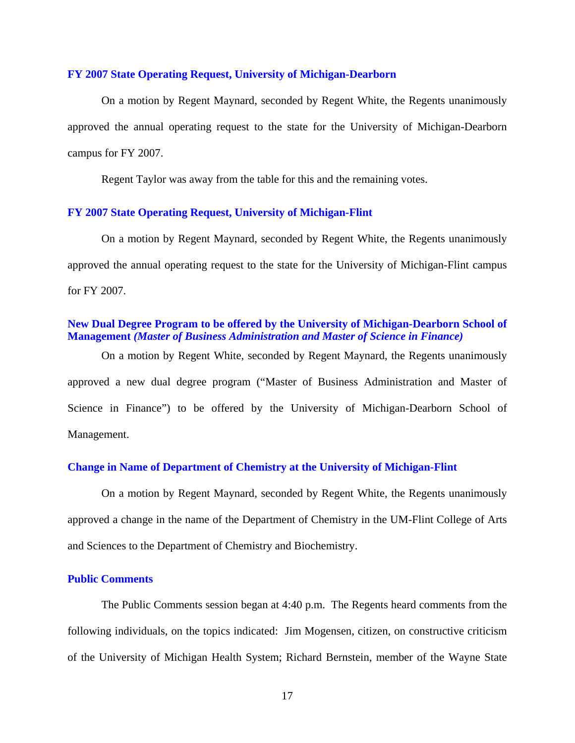#### **FY 2007 State Operating Request, University of Michigan-Dearborn**

On a motion by Regent Maynard, seconded by Regent White, the Regents unanimously approved the annual operating request to the state for the University of Michigan-Dearborn campus for FY 2007.

Regent Taylor was away from the table for this and the remaining votes.

## **FY 2007 State Operating Request, University of Michigan-Flint**

On a motion by Regent Maynard, seconded by Regent White, the Regents unanimously approved the annual operating request to the state for the University of Michigan-Flint campus for FY 2007.

## **New Dual Degree Program to be offered by the University of Michigan-Dearborn School of Management** *(Master of Business Administration and Master of Science in Finance)*

On a motion by Regent White, seconded by Regent Maynard, the Regents unanimously approved a new dual degree program ("Master of Business Administration and Master of Science in Finance") to be offered by the University of Michigan-Dearborn School of Management.

### **Change in Name of Department of Chemistry at the University of Michigan-Flint**

On a motion by Regent Maynard, seconded by Regent White, the Regents unanimously approved a change in the name of the Department of Chemistry in the UM-Flint College of Arts and Sciences to the Department of Chemistry and Biochemistry.

## **Public Comments**

The Public Comments session began at 4:40 p.m. The Regents heard comments from the following individuals, on the topics indicated: Jim Mogensen, citizen, on constructive criticism of the University of Michigan Health System; Richard Bernstein, member of the Wayne State